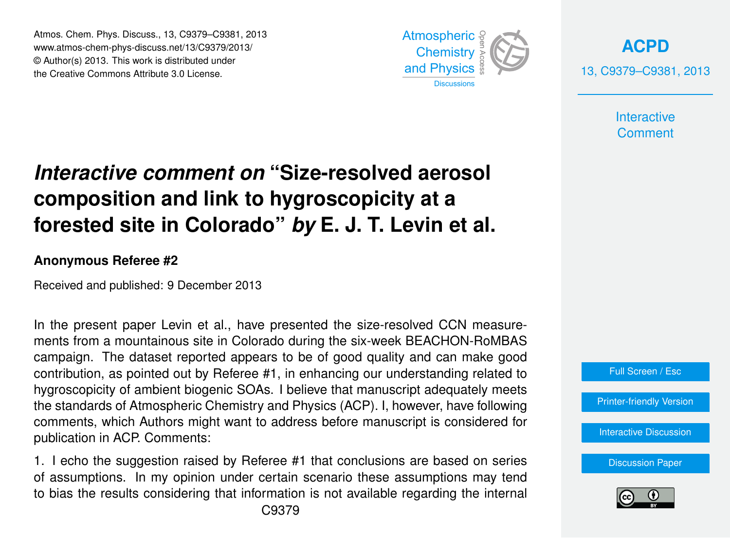Atmos. Chem. Phys. Discuss., 13, C9379–C9381, 2013 Atmospheric www.atmos-chem-phys-discuss.net/13/C9379/2013/<br>@ Author(a) 2012, This work is distributed under © Author(s) 2013. This work is distributed under the Creative Commons Attribute 3.0 License.



**[ACPD](http://www.atmos-chem-phys-discuss.net)** 13, C9379–C9381, 2013

> **Interactive Comment**

## mordem*re* commont on their coedition actoo  $\overline{\phantom{0}}$  $\overline{\phantom{a}}$ **Interactive comment on "Size-resolved aerosol** J<br>C  $\overline{a}$ forested site in Colorado" *by* E. J. T. Levin et al.

## **Anonymous Referee #2**

Received and published: 9 December 2013

t al., have presented the size-resolved CCN  $\overline{1}$ r<br>P n<br>-In the present paper Levin et al., have presented the size-resolved CCN measurecampaign. The dataset reported appears to be of good quality and can make good contribution, as pointed out by Referee #1, in enhancing our understanding related to hygroscopicity of ambient biogenic SOAs. I believe that manuscript adequately meets the standards of Atmospheric Chemistry and Physics (ACP). I, however, have following ..<br> $\ddot{t}$ <br> $\ddot{t}$ <br> $\ddot{t}$ .<br>e<br>fc comments, which Authors might want to address before manuscript is considered for publication in ACP. Comments: ments from a mountainous site in Colorado during the six-week BEACHON-RoMBAS

 $\frac{1}{10}$  estion raised by Referee #1 that conclusions are based .<br>P .<br>Dr 1. I echo the suggestion raised by Referee #1 that conclusions are based on series to bias the results considering that information is not available regarding the internal Open Access of assumptions. In my opinion under certain scenario these assumptions may tend





Earth System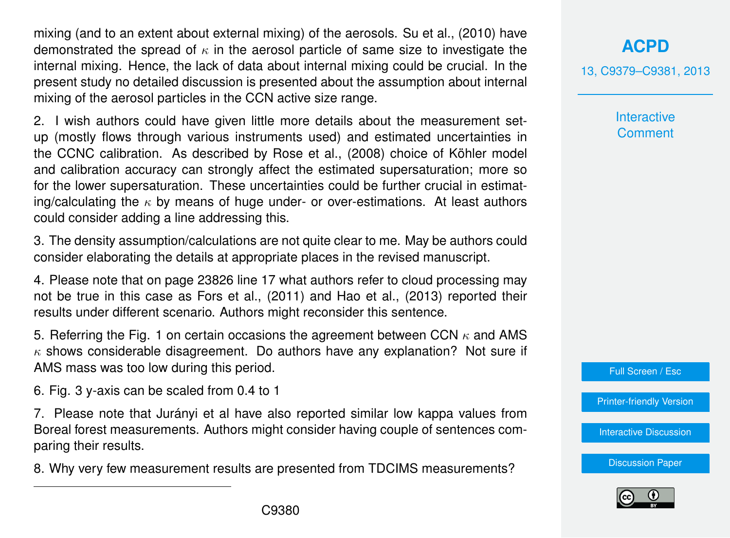mixing (and to an extent about external mixing) of the aerosols. Su et al., (2010) have demonstrated the spread of  $\kappa$  in the aerosol particle of same size to investigate the internal mixing. Hence, the lack of data about internal mixing could be crucial. In the present study no detailed discussion is presented about the assumption about internal mixing of the aerosol particles in the CCN active size range.

2. I wish authors could have given little more details about the measurement setup (mostly flows through various instruments used) and estimated uncertainties in the CCNC calibration. As described by Rose et al., (2008) choice of Köhler model and calibration accuracy can strongly affect the estimated supersaturation; more so for the lower supersaturation. These uncertainties could be further crucial in estimating/calculating the  $\kappa$  by means of huge under- or over-estimations. At least authors could consider adding a line addressing this.

3. The density assumption/calculations are not quite clear to me. May be authors could consider elaborating the details at appropriate places in the revised manuscript.

4. Please note that on page 23826 line 17 what authors refer to cloud processing may not be true in this case as Fors et al., (2011) and Hao et al., (2013) reported their results under different scenario. Authors might reconsider this sentence.

5. Referring the Fig. 1 on certain occasions the agreement between CCN  $\kappa$  and AMS  $\kappa$  shows considerable disagreement. Do authors have any explanation? Not sure if AMS mass was too low during this period.

6. Fig. 3 y-axis can be scaled from 0.4 to 1

7. Please note that Jurányi et al have also reported similar low kappa values from Boreal forest measurements. Authors might consider having couple of sentences comparing their results.

8. Why very few measurement results are presented from TDCIMS measurements?

## **[ACPD](http://www.atmos-chem-phys-discuss.net)**

13, C9379–C9381, 2013

**Interactive Comment** 

Full Screen / Esc

[Printer-friendly Version](http://www.atmos-chem-phys-discuss.net/13/C9379/2013/acpd-13-C9379-2013-print.pdf)

[Interactive Discussion](http://www.atmos-chem-phys-discuss.net/13/23817/2013/acpd-13-23817-2013-discussion.html)

[Discussion Paper](http://www.atmos-chem-phys-discuss.net/13/23817/2013/acpd-13-23817-2013.pdf)